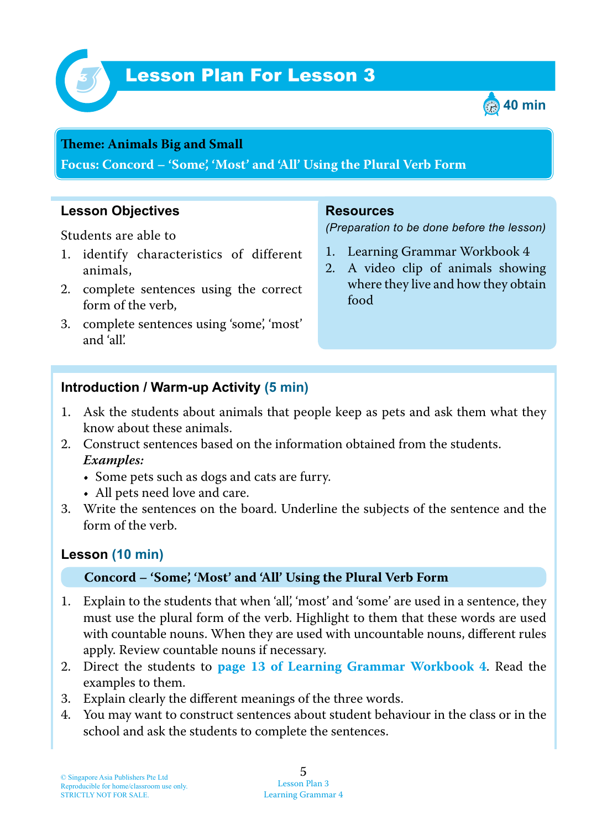

# Lesson Plan For Lesson 3 *3*



#### **Teme : Animals Big and Small**

**Focus: Concord – 'Some', 'Most' and 'All' Using the Plural Verb Form**

## **Lesson Objectives**

Students are able to

- 1. identify characteristics of different animals,
- 2. complete sentences using the correct form of the verb,
- 3. complete sentences using 'some', 'most' and 'all'.

#### **Resources**

*(Preparation to be done before the lesson)*

- 1. Learning Grammar Workbook 4
- 2. A video clip of animals showing where they live and how they obtain food

## **Introduction / Warm-up Activity (5 min)**

- 1. Ask the students about animals that people keep as pets and ask them what they know about these animals.
- 2. Construct sentences based on the information obtained from the students.  *Examples:*
	- Some pets such as dogs and cats are furry.
	- All pets need love and care.
- 3. Write the sentences on the board. Underline the subjects of the sentence and the form of the verb.

### **Lesson (10 min)**

#### **Concord – 'Some', 'Most' and 'All' Using the Plural Verb Form**

- 1. Explain to the students that when 'all', 'most' and 'some' are used in a sentence, they must use the plural form of the verb. Highlight to them that these words are used with countable nouns. When they are used with uncountable nouns, different rules apply. Review countable nouns if necessary.
- 2. Direct the students to **page 13 of Learning Grammar Workbook 4** . Read the examples to them.
- 3. Explain clearly the different meanings of the three words.
- 4. You may want to construct sentences about student behaviour in the class or in the school and ask the students to complete the sentences.